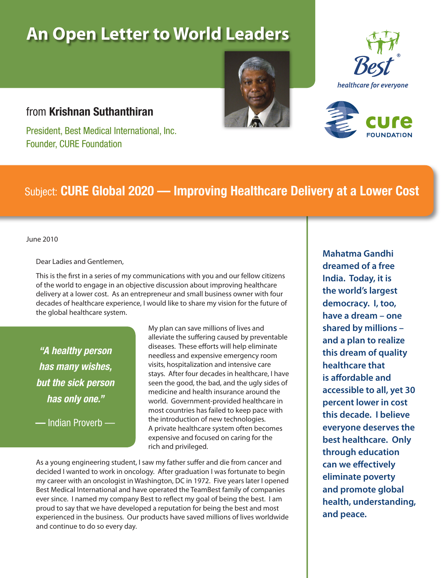# **An Open Letter to World Leaders**







### from **Krishnan Suthanthiran**

President, Best Medical International, Inc. Founder, CURE Foundation

### Subject: **CURE Global 2020 — Improving Healthcare Delivery at a Lower Cost**

June 2010

Dear Ladies and Gentlemen,

This is the first in a series of my communications with you and our fellow citizens of the world to engage in an objective discussion about improving healthcare delivery at a lower cost. As an entrepreneur and small business owner with four decades of healthcare experience, I would like to share my vision for the future of the global healthcare system.

*"A healthy person has many wishes, but the sick person has only one."* 

**—** Indian Proverb —

My plan can save millions of lives and alleviate the suffering caused by preventable diseases. These efforts will help eliminate needless and expensive emergency room visits, hospitalization and intensive care stays. After four decades in healthcare, I have seen the good, the bad, and the ugly sides of medicine and health insurance around the world. Government-provided healthcare in most countries has failed to keep pace with the introduction of new technologies. A private healthcare system often becomes expensive and focused on caring for the rich and privileged.

As a young engineering student, I saw my father suffer and die from cancer and decided I wanted to work in oncology. After graduation I was fortunate to begin my career with an oncologist in Washington, DC in 1972. Five years later I opened Best Medical International and have operated the TeamBest family of companies ever since. I named my company Best to reflect my goal of being the best. I am proud to say that we have developed a reputation for being the best and most experienced in the business. Our products have saved millions of lives worldwide and continue to do so every day.

**Mahatma Gandhi dreamed of a free India. Today, it is the world's largest democracy. I, too, have a dream – one shared by millions – and a plan to realize this dream of quality healthcare that is affordable and accessible to all, yet 30 percent lower in cost this decade. I believe everyone deserves the best healthcare. Only through education can we effectively eliminate poverty and promote global health, understanding, and peace.**